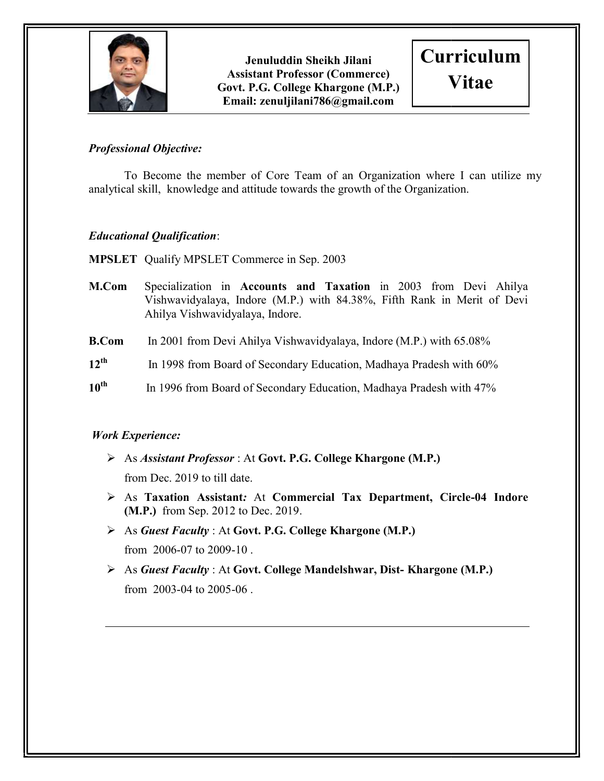

Govt. P.G. College Khargone (M.P.) E Email: zenuljilani786@gmail.com Jenuluddin Sheikh Jilani Assistant Professor (Commerce)



### Professional Objective:

To Become the member of Core Team of an Organization where I can utilize my analytical skill, knowledge and attitude towards the growth of the Organization.<br> **Educational Qualification:**<br> **MPSLET** Qualify MPSLET Commerce in Sep. 2003

## Educational Qualification:

**MPSLET** Qualify MPSLET Commerce in Sep. 2003

- M.Com Specialization in Accounts and Taxation in 2003 from Devi Ahilya Vishwavidyalaya, Indore (M.P.) with 84.38%, Fifth Rank in Merit of Devi Ahilya Vishwavidyalaya, Indore Vishwavidyalaya, Indore.
- **B.Com** In 2001 from Devi Ahilya Vishwavidyalaya, Indore (M.P.) with 65.08%
- $12^{\text{th}}$ In 1998 from Board of Secondary Education, Madhaya Pradesh with 60%
- 10<sup>th</sup> In 1996 from Board of Secondary Education, Madhaya Pradesh with 47%

## Work Experience:

- > As Assistant Professor : At Govt. P.G. College Khargone (M.P.) from Dec. 2019 to till date.
- > As Taxation Assistant: At Commercial Tax Department, Circle-04 Indore (M.P.) from Sep. 2012 to Dec. 2019 2019.
- As Guest Faculty: At Govt. P.G. College Khargone (M.P.) from 2006-07 to 2009-10.
- As Guest Faculty: At Govt. College Mandelshwar, Dist-Khargone (M.P.) from 2003-04 to 2005 04 2005-06 .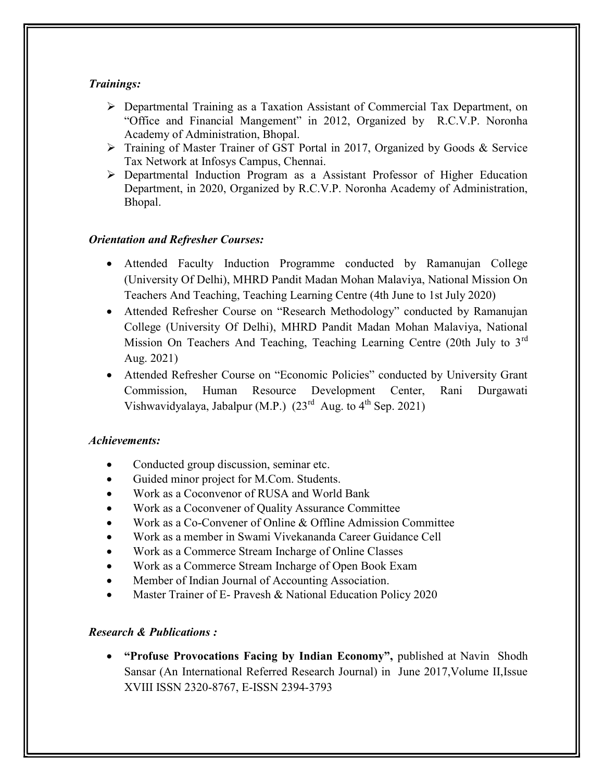### Trainings:

- Departmental Training as a Taxation Assistant of Commercial Tax Department, on "Office and Financial Mangement" in 2012, Organized by R.C.V.P. Noronha Academy of Administration, Bhopal.
- Training of Master Trainer of GST Portal in 2017, Organized by Goods & Service Tax Network at Infosys Campus, Chennai.
- Departmental Induction Program as a Assistant Professor of Higher Education Department, in 2020, Organized by R.C.V.P. Noronha Academy of Administration, Bhopal.

### Orientation and Refresher Courses:

- Attended Faculty Induction Programme conducted by Ramanujan College (University Of Delhi), MHRD Pandit Madan Mohan Malaviya, National Mission On Teachers And Teaching, Teaching Learning Centre (4th June to 1st July 2020)
- Attended Refresher Course on "Research Methodology" conducted by Ramanujan College (University Of Delhi), MHRD Pandit Madan Mohan Malaviya, National Mission On Teachers And Teaching, Teaching Learning Centre (20th July to  $3<sup>rd</sup>$ Aug. 2021)
- Attended Refresher Course on "Economic Policies" conducted by University Grant Commission, Human Resource Development Center, Rani Durgawati Vishwavidyalaya, Jabalpur (M.P.)  $(23^{rd}$  Aug. to  $4^{th}$  Sep. 2021)

#### Achievements:

- Conducted group discussion, seminar etc.
- Guided minor project for M.Com. Students.
- Work as a Coconvenor of RUSA and World Bank
- Work as a Coconvener of Quality Assurance Committee
- Work as a Co-Convener of Online & Offline Admission Committee
- Work as a member in Swami Vivekananda Career Guidance Cell
- Work as a Commerce Stream Incharge of Online Classes
- Work as a Commerce Stream Incharge of Open Book Exam
- Member of Indian Journal of Accounting Association.
- Master Trainer of E- Pravesh & National Education Policy 2020

## Research & Publications :

• "Profuse Provocations Facing by Indian Economy", published at Navin Shodh Sansar (An International Referred Research Journal) in June 2017,Volume II,Issue XVIII ISSN 2320-8767, E-ISSN 2394-3793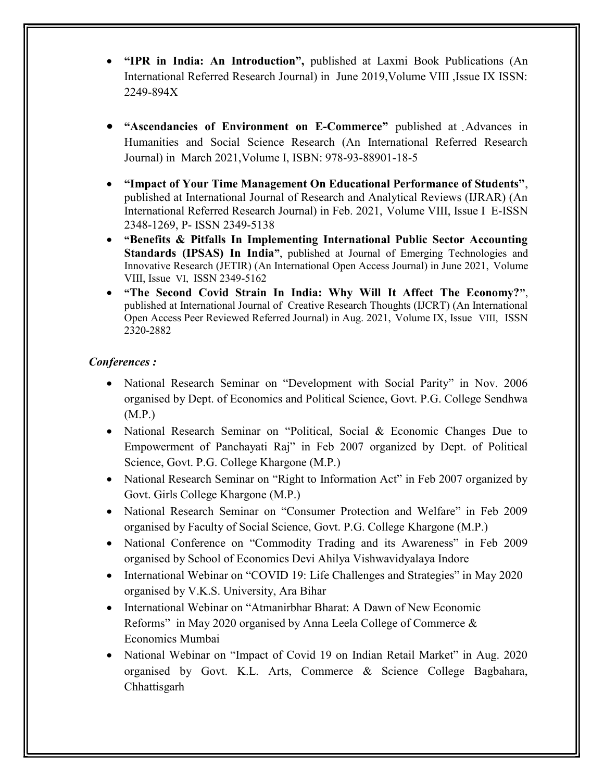- "IPR in India: An Introduction", published at Laxmi Book Publications (An International Referred Research Journal) in June 2019,Volume VIII ,Issue IX ISSN: 2249-894X
- "Ascendancies of Environment on E-Commerce" published at Advances in Humanities and Social Science Research (An International Referred Research Journal) in March 2021,Volume I, ISBN: 978-93-88901-18-5
- "Impact of Your Time Management On Educational Performance of Students", published at International Journal of Research and Analytical Reviews (IJRAR) (An International Referred Research Journal) in Feb. 2021, Volume VIII, Issue I E-ISSN 2348-1269, P- ISSN 2349-5138
- "Benefits & Pitfalls In Implementing International Public Sector Accounting Standards (IPSAS) In India", published at Journal of Emerging Technologies and Innovative Research (JETIR) (An International Open Access Journal) in June 2021, Volume VIII, Issue VI, ISSN 2349-5162
- "The Second Covid Strain In India: Why Will It Affect The Economy?", published at International Journal of Creative Research Thoughts (IJCRT) (An International Open Access Peer Reviewed Referred Journal) in Aug. 2021, Volume IX, Issue VIII, ISSN 2320-2882

#### Conferences :

- National Research Seminar on "Development with Social Parity" in Nov. 2006 organised by Dept. of Economics and Political Science, Govt. P.G. College Sendhwa (M.P.)
- National Research Seminar on "Political, Social & Economic Changes Due to Empowerment of Panchayati Raj" in Feb 2007 organized by Dept. of Political Science, Govt. P.G. College Khargone (M.P.)
- National Research Seminar on "Right to Information Act" in Feb 2007 organized by Govt. Girls College Khargone (M.P.)
- National Research Seminar on "Consumer Protection and Welfare" in Feb 2009 organised by Faculty of Social Science, Govt. P.G. College Khargone (M.P.)
- National Conference on "Commodity Trading and its Awareness" in Feb 2009 organised by School of Economics Devi Ahilya Vishwavidyalaya Indore
- International Webinar on "COVID 19: Life Challenges and Strategies" in May 2020 organised by V.K.S. University, Ara Bihar
- International Webinar on "Atmanirbhar Bharat: A Dawn of New Economic Reforms" in May 2020 organised by Anna Leela College of Commerce & Economics Mumbai
- National Webinar on "Impact of Covid 19 on Indian Retail Market" in Aug. 2020 organised by Govt. K.L. Arts, Commerce & Science College Bagbahara, Chhattisgarh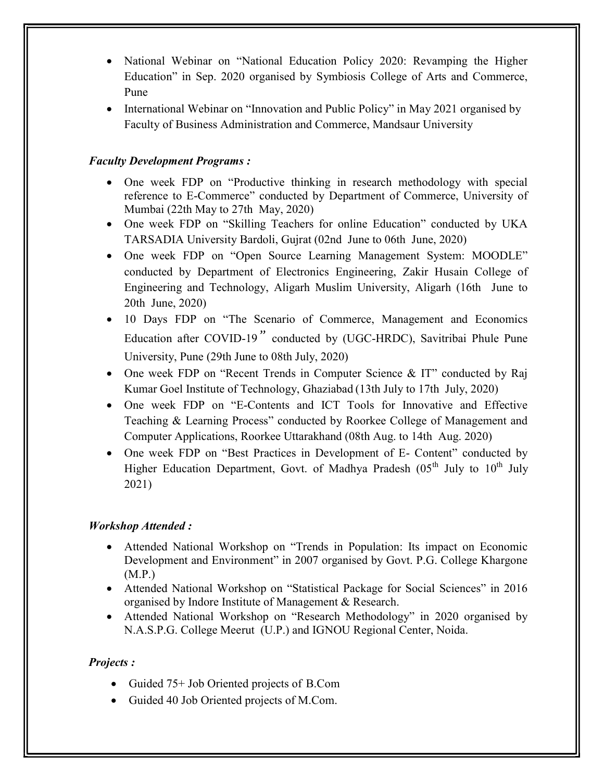- National Webinar on "National Education Policy 2020: Revamping the Higher Education" in Sep. 2020 organised by Symbiosis College of Arts and Commerce, Pune
- International Webinar on "Innovation and Public Policy" in May 2021 organised by Faculty of Business Administration and Commerce, Mandsaur University

## Faculty Development Programs :

- One week FDP on "Productive thinking in research methodology with special reference to E-Commerce" conducted by Department of Commerce, University of Mumbai (22th May to 27th May, 2020)
- One week FDP on "Skilling Teachers for online Education" conducted by UKA TARSADIA University Bardoli, Gujrat (02nd June to 06th June, 2020)
- One week FDP on "Open Source Learning Management System: MOODLE" conducted by Department of Electronics Engineering, Zakir Husain College of Engineering and Technology, Aligarh Muslim University, Aligarh (16th June to 20th June, 2020)
- 10 Days FDP on "The Scenario of Commerce, Management and Economics Education after COVID-19" conducted by (UGC-HRDC), Savitribai Phule Pune University, Pune (29th June to 08th July, 2020)
- One week FDP on "Recent Trends in Computer Science & IT" conducted by Raj Kumar Goel Institute of Technology, Ghaziabad (13th July to 17th July, 2020)
- One week FDP on "E-Contents and ICT Tools for Innovative and Effective Teaching & Learning Process" conducted by Roorkee College of Management and Computer Applications, Roorkee Uttarakhand (08th Aug. to 14th Aug. 2020)
- One week FDP on "Best Practices in Development of E- Content" conducted by Higher Education Department, Govt. of Madhya Pradesh  $(0.5<sup>th</sup>$  July to  $10<sup>th</sup>$  July 2021)

## Workshop Attended :

- Attended National Workshop on "Trends in Population: Its impact on Economic Development and Environment" in 2007 organised by Govt. P.G. College Khargone (M.P.)
- Attended National Workshop on "Statistical Package for Social Sciences" in 2016 organised by Indore Institute of Management & Research.
- Attended National Workshop on "Research Methodology" in 2020 organised by N.A.S.P.G. College Meerut (U.P.) and IGNOU Regional Center, Noida.

## Projects :

- Guided 75+ Job Oriented projects of B.Com
- Guided 40 Job Oriented projects of M.Com.